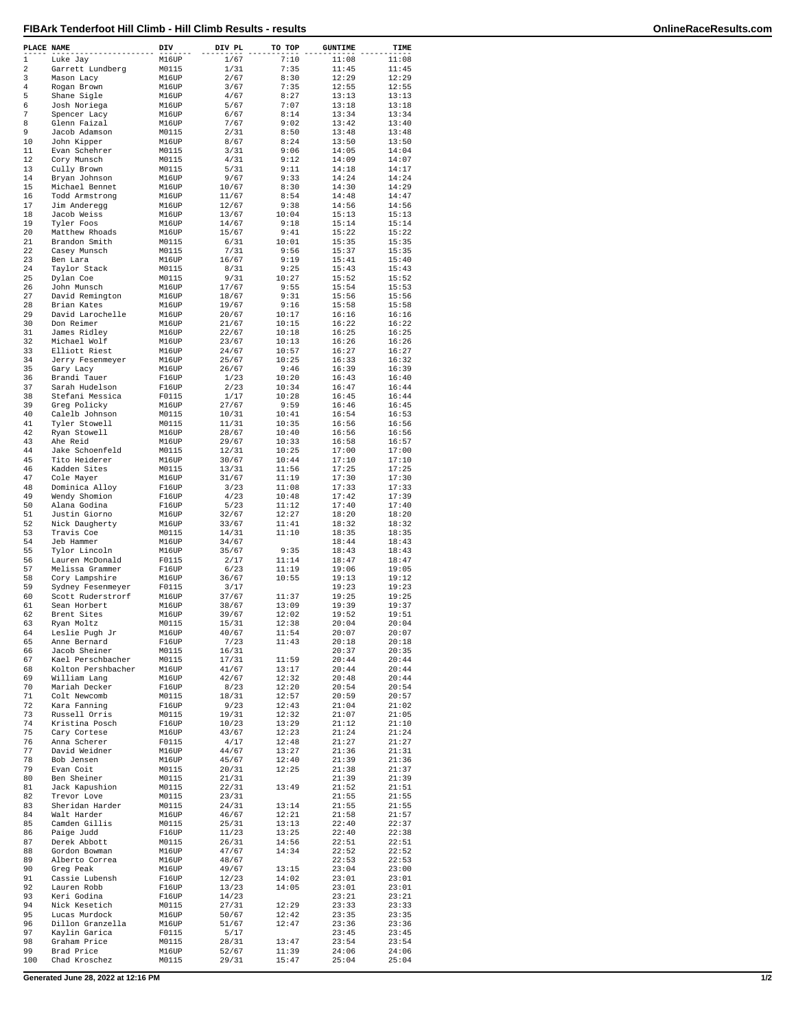| PLACE NAME     |                                    | DIV            | DIV PL         | TO TOP         | <b>GUNTIME</b> | TIME           |
|----------------|------------------------------------|----------------|----------------|----------------|----------------|----------------|
| $\mathbf{1}$   | Luke Jay                           | M16UP          | 1/67           | 7:10           | 11:08          | 11:08          |
| 2              | Garrett Lundberg                   | M0115          | 1/31           | 7:35           | 11:45          | 11:45          |
| 3              | Mason Lacy                         | M16UP          | 2/67           | 8:30           | 12:29          | 12:29          |
| $\overline{4}$ | Rogan Brown                        | M16UP          | 3/67           | 7:35           | 12:55          | 12:55          |
| 5              | Shane Sigle                        | M16UP          | 4/67           | 8:27           | 13:13          | 13:13          |
| 6<br>7         | Josh Noriega                       | M16UP<br>M16UP | 5/67<br>6/67   | 7:07<br>8:14   | 13:18<br>13:34 | 13:18<br>13:34 |
| 8              | Spencer Lacy<br>Glenn Faizal       | M16UP          | 7/67           | 9:02           | 13:42          | 13:40          |
| 9              | Jacob Adamson                      | M0115          | 2/31           | 8:50           | 13:48          | 13:48          |
| 10             | John Kipper                        | M16UP          | 8/67           | 8:24           | 13:50          | 13:50          |
| 11             | Evan Schehrer                      | M0115          | 3/31           | 9:06           | 14:05          | 14:04          |
| 12             | Cory Munsch                        | M0115          | 4/31           | 9:12           | 14:09          | 14:07          |
| 13             | Cully Brown                        | M0115          | 5/31           | 9:11           | 14:18          | 14:17          |
| 14             | Bryan Johnson                      | M16UP          | 9/67           | 9:33           | 14:24          | 14:24          |
| 15             | Michael Bennet                     | M16UP          | 10/67          | 8:30           | 14:30          | 14:29          |
| 16             | Todd Armstrong                     | M16UP          | 11/67          | 8:54           | 14:48          | 14:47          |
| 17<br>18       | Jim Anderegg<br>Jacob Weiss        | M16UP          | 12/67<br>13/67 | 9:38<br>10:04  | 14:56          | 14:56          |
| 19             | Tyler Foos                         | M16UP<br>M16UP | 14/67          | 9:18           | 15:13<br>15:14 | 15:13<br>15:14 |
| 20             | Matthew Rhoads                     | M16UP          | 15/67          | 9:41           | 15:22          | 15:22          |
| 21             | Brandon Smith                      | M0115          | 6/31           | 10:01          | 15:35          | 15:35          |
| 22             | Casey Munsch                       | M0115          | 7/31           | 9:56           | 15:37          | 15:35          |
| 23             | Ben Lara                           | M16UP          | 16/67          | 9:19           | 15:41          | 15:40          |
| 24             | Taylor Stack                       | M0115          | 8/31           | 9:25           | 15:43          | 15:43          |
| 25             | Dylan Coe                          | M0115          | 9/31           | 10:27          | 15:52          | 15:52          |
| 26             | John Munsch                        | M16UP          | 17/67          | 9:55           | 15:54          | 15:53          |
| 27             | David Remington                    | M16UP          | 18/67          | 9:31           | 15:56          | 15:56          |
| 28             | Brian Kates                        | M16UP          | 19/67          | 9:16           | 15:58          | 15:58          |
| 29<br>30       | David Larochelle                   | M16UP          | 20/67          | 10:17          | 16:16          | 16:16          |
| 31             | Don Reimer                         | M16UP          | 21/67<br>22/67 | 10:15<br>10:18 | 16:22<br>16:25 | 16:22<br>16:25 |
| 32             | James Ridley<br>Michael Wolf       | M16UP<br>M16UP | 23/67          | 10:13          | 16:26          | 16:26          |
| 33             | Elliott Riest                      | M16UP          | 24/67          | 10:57          | 16:27          | 16:27          |
| 34             | Jerry Fesenmeyer                   | M16UP          | 25/67          | 10:25          | 16:33          | 16:32          |
| 35             | Gary Lacy                          | M16UP          | 26/67          | 9:46           | 16:39          | 16:39          |
| 36             | Brandi Tauer                       | F16UP          | 1/23           | 10:20          | 16:43          | 16:40          |
| 37             | Sarah Hudelson                     | F16UP          | 2/23           | 10:34          | 16:47          | 16:44          |
| 38             | Stefani Messica                    | F0115          | 1/17           | 10:28          | 16:45          | 16:44          |
| 39             | Greg Policky                       | M16UP          | 27/67          | 9:59           | 16:46          | 16:45          |
| 40             | Calelb Johnson                     | M0115          | 10/31          | 10:41          | 16:54          | 16:53          |
| 41             | Tyler Stowell                      | M0115          | 11/31          | 10:35          | 16:56          | 16:56          |
| 42             | Ryan Stowell                       | M16UP          | 28/67          | 10:40          | 16:56          | 16:56          |
| 43             | Ahe Reid                           | M16UP          | 29/67          | 10:33          | 16:58          | 16:57          |
| 44             | Jake Schoenfeld                    | M0115          | 12/31          | 10:25          | 17:00          | 17:00          |
| 45             | Tito Heiderer                      | M16UP          | 30/67          | 10:44          | 17:10          | 17:10          |
| 46             | Kadden Sites                       | M0115          | 13/31          | 11:56          | 17:25          | 17:25          |
| 47             | Cole Mayer                         | M16UP          | 31/67          | 11:19          | 17:30          | 17:30          |
| 48             | Dominica Alloy                     | F16UP          | 3/23           | 11:08          | 17:33          | 17:33          |
| 49             | Wendy Shomion                      | F16UP          | 4/23           | 10:48          | 17:42          | 17:39          |
| 50             | Alana Godina                       | F16UP          | 5/23           | 11:12          | 17:40          | 17:40          |
| 51<br>52       | Justin Giorno                      | M16UP          | 32/67          | 12:27          | 18:20          | 18:20          |
| 53             | Nick Daugherty<br>Travis Coe       | M16UP<br>M0115 | 33/67<br>14/31 | 11:41<br>11:10 | 18:32<br>18:35 | 18:32<br>18:35 |
| 54             | Jeb Hammer                         | M16UP          | 34/67          |                | 18:44          | 18:43          |
| 55             | Tylor Lincoln                      | M16UP          | 35/67          | 9:35           | 18:43          | 18:43          |
| 56             | Lauren McDonald                    | F0115          | 2/17           | 11:14          | 18:47          | 18:47          |
| 57             | Melissa Grammer                    | F16UP          | 6/23           | 11:19          | 19:06          | 19:05          |
| 58             | Cory Lampshire                     | M16UP          | 36/67          | 10:55          | 19:13          | 19:12          |
| 59             | Sydney Fesenmeyer                  | F0115          | 3/17           |                | 19:23          | 19:23          |
| 60             | Scott Ruderstrorf                  | M16UP          | 37/67          | 11:37          | 19:25          | 19:25          |
| 61             | Sean Horbert                       | M16UP          | 38/67          | 13:09          | 19:39          | 19:37          |
| 62             | Brent Sites                        | M16UP          | 39/67          | 12:02          | 19:52          | 19:51          |
| 63             | Ryan Moltz                         | M0115          | 15/31          | 12:38          | 20:04          | 20:04          |
| 64             | Leslie Pugh Jr                     | M16UP          | 40/67          | 11:54          | 20:07          | 20:07          |
| 65             | Anne Bernard                       | F16UP          | 7/23           | 11:43          | 20:18          | 20:18          |
| 66             | Jacob Sheiner                      | M0115<br>M0115 | 16/31          |                | 20:37          | 20:35<br>20:44 |
| 67             | Kael Perschbacher                  |                | 17/31<br>41/67 | 11:59<br>13:17 | 20:44          |                |
| 68<br>69       | Kolton Pershbacher<br>William Lang | M16UP<br>M16UP | 42/67          | 12:32          | 20:44<br>20:48 | 20:44<br>20:44 |
| 70             | Mariah Decker                      | F16UP          | 8/23           | 12:20          | 20:54          | 20:54          |
| 71             | Colt Newcomb                       | M0115          | 18/31          | 12:57          | 20:59          | 20:57          |
| 72             | Kara Fanning                       | F16UP          | 9/23           | 12:43          | 21:04          | 21:02          |
| 73             | Russell Orris                      | M0115          | 19/31          | 12:32          | 21:07          | 21:05          |
| 74             | Kristina Posch                     | F16UP          | 10/23          | 13:29          | 21:12          | 21:10          |
| 75             | Cary Cortese                       | M16UP          | 43/67          | 12:23          | 21:24          | 21:24          |
| 76             | Anna Scherer                       | F0115          | 4/17           | 12:48          | 21:27          | 21:27          |
| 77             | David Weidner                      | M16UP          | 44/67          | 13:27          | 21:36          | 21:31          |
| 78             | Bob Jensen                         | M16UP          | 45/67          | 12:40          | 21:39          | 21:36          |
| 79             | Evan Coit                          | M0115          | 20/31          | 12:25          | 21:38          | 21:37          |
| 80             | Ben Sheiner                        | M0115          | 21/31          |                | 21:39          | 21:39          |
| 81             | Jack Kapushion                     | M0115          | 22/31          | 13:49          | 21:52          | 21:51          |
| 82<br>83       | Trevor Love<br>Sheridan Harder     | M0115<br>M0115 | 23/31<br>24/31 | 13:14          | 21:55<br>21:55 | 21:55<br>21:55 |
| 84             | Walt Harder                        | M16UP          | 46/67          | 12:21          | 21:58          | 21:57          |
| 85             | Camden Gillis                      | M0115          | 25/31          | 13:13          | 22:40          | 22:37          |
| 86             | Paige Judd                         | F16UP          | 11/23          | 13:25          | 22:40          | 22:38          |
| 87             | Derek Abbott                       | M0115          | 26/31          | 14:56          | 22:51          | 22:51          |
| 88             | Gordon Bowman                      | M16UP          | 47/67          | 14:34          | 22:52          | 22:52          |
| 89             | Alberto Correa                     | M16UP          | 48/67          |                | 22:53          | 22:53          |
| 90             | Greg Peak                          | M16UP          | 49/67          | 13:15          | 23:04          | 23:00          |
| 91             | Cassie Lubensh                     | F16UP          | 12/23          | 14:02          | 23:01          | 23:01          |
| 92             | Lauren Robb                        | F16UP          | 13/23          | 14:05          | 23:01          | 23:01          |
| 93             | Keri Godina                        | F16UP          | 14/23          |                | 23:21          | 23:21          |
| 94             | Nick Kesetich                      | M0115          | 27/31          | 12:29          | 23:33          | 23:33          |
| 95             | Lucas Murdock                      | M16UP          | 50/67          | 12:42          | 23:35          | 23:35          |
| 96             | Dillon Granzella                   | M16UP          | 51/67          | 12:47          | 23:36          | 23:36          |
| 97             | Kaylin Garica                      | F0115          | 5/17           |                | 23:45          | 23:45          |
| 98             | Graham Price                       | M0115          | 28/31          | 13:47          | 23:54          | 23:54          |
| 99<br>100      | Brad Price<br>Chad Kroschez        | M16UP<br>M0115 | 52/67<br>29/31 | 11:39<br>15:47 | 24:06<br>25:04 | 24:06<br>25:04 |
|                |                                    |                |                |                |                |                |

**Generated June 28, 2022 at 12:16 PM 1/2**